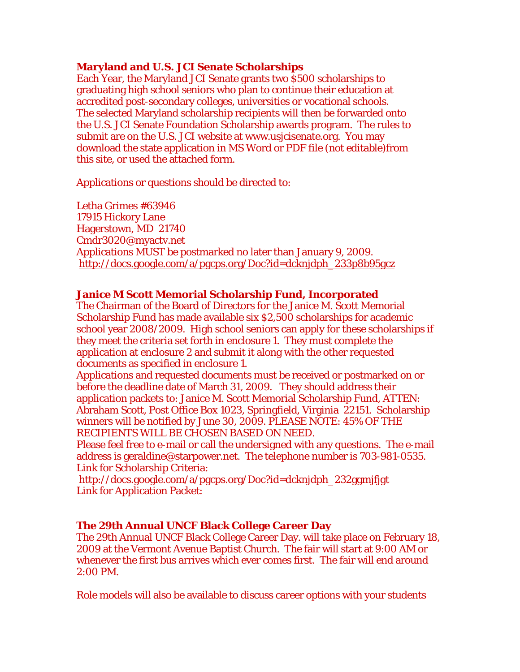### **Maryland and U.S. JCI Senate Scholarships**

Each Year, the Maryland JCI Senate grants two \$500 scholarships to graduating high school seniors who plan to continue their education at accredited post-secondary colleges, universities or vocational schools. The selected Maryland scholarship recipients will then be forwarded onto the U.S. JCI Senate Foundation Scholarship awards program. The rules to submit are on the U.S. JCI website at www.usjcisenate.org. You may download the state application in MS Word or PDF file (not editable)from this site, or used the attached form.

Applications or questions should be directed to:

Letha Grimes #63946 17915 Hickory Lane Hagerstown, MD 21740 Cmdr3020@myactv.net Applications MUST be postmarked no later than January 9, 2009. http://docs.google.com/a/pgcps.org/Doc?id=dcknjdph\_233p8b95gcz

### **Janice M Scott Memorial Scholarship Fund, Incorporated**

The Chairman of the Board of Directors for the Janice M. Scott Memorial Scholarship Fund has made available six \$2,500 scholarships for academic school year 2008/2009. High school seniors can apply for these scholarships if they meet the criteria set forth in enclosure 1. They must complete the application at enclosure 2 and submit it along with the other requested documents as specified in enclosure 1.

Applications and requested documents must be received or postmarked on or before the deadline date of March 31, 2009. They should address their application packets to: Janice M. Scott Memorial Scholarship Fund, ATTEN: Abraham Scott, Post Office Box 1023, Springfield, Virginia 22151. Scholarship winners will be notified by June 30, 2009. PLEASE NOTE: 45% OF THE RECIPIENTS WILL BE CHOSEN BASED ON NEED.

Please feel free to e-mail or call the undersigned with any questions. The e-mail address is geraldine@starpower.net. The telephone number is 703-981-0535. Link for Scholarship Criteria:

 http://docs.google.com/a/pgcps.org/Doc?id=dcknjdph\_232ggmjfjgt Link for Application Packet:

### **The 29th Annual UNCF Black College Career Day**

The 29th Annual UNCF Black College Career Day. will take place on February 18, 2009 at the Vermont Avenue Baptist Church. The fair will start at 9:00 AM or whenever the first bus arrives which ever comes first. The fair will end around 2:00 PM.

Role models will also be available to discuss career options with your students